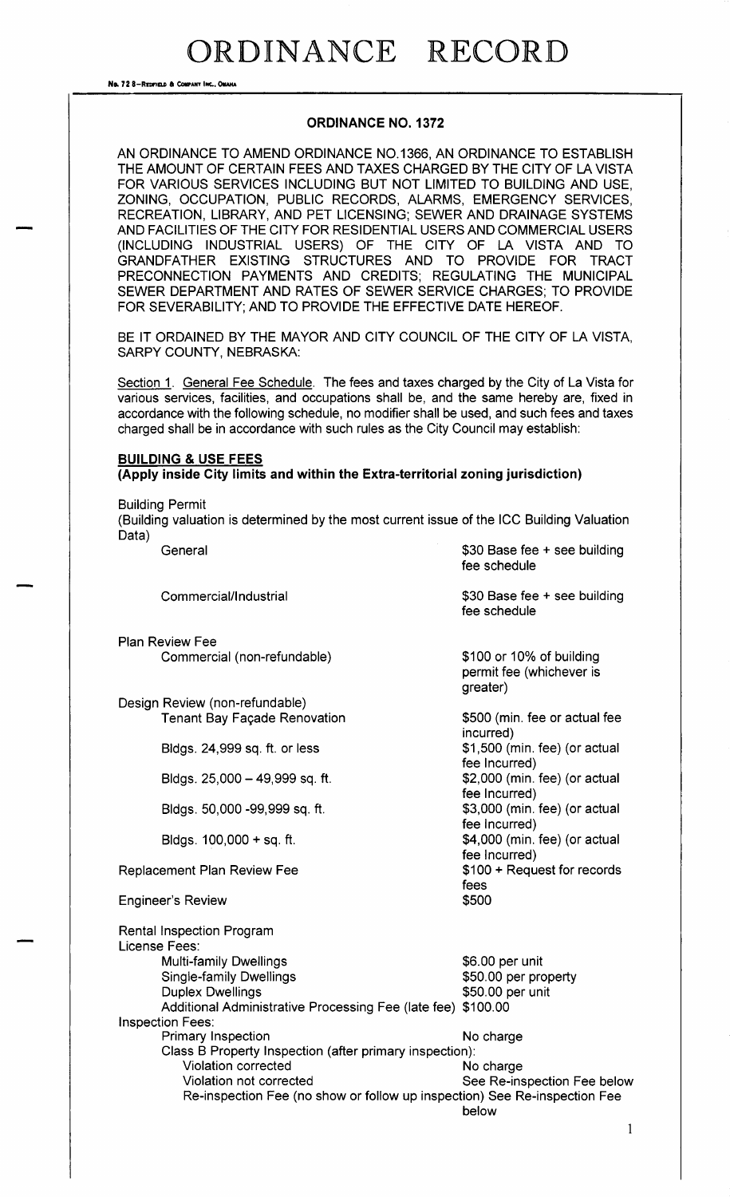No. 72 8-REDFIELD & COMPANY INC., OMAHA

### ORDINANCE NO. 1372

AN ORDINANCE TO AMEND ORDINANCE NO. 1366, AN ORDINANCE TO ESTABLISH THE AMOUNT OF CERTAIN FEES AND TAXES CHARGED BY THE CITY OF LA VISTA FOR VARIOUS SERVICES INCLUDING BUT NOT LIMITED TO BUILDING AND USE, ZONING, OCCUPATION, PUBLIC RECORDS, ALARMS, EMERGENCY SERVICES, RECREATION, LIBRARY, AND PET LICENSING; SEWER AND DRAINAGE SYSTEMS AND FACILITIES OF THE CITY FOR RESIDENTIAL USERS AND COMMERCIAL USERS (INCLUDING INDUSTRIAL USERS) OF THE CITY OF LA VISTA AND TO GRANDFATHER EXISTING STRUCTURES AND TO PROVIDE FOR TRACT PRECONNECTION PAYMENTS AND CREDITS; REGULATING THE MUNICIPAL SEWER DEPARTMENT AND RATES OF SEWER SERVICE CHARGES; TO PROVIDE FOR SEVERABILITY; AND TO PROVIDE THE EFFECTIVE DATE HEREOF.

BE IT ORDAINED BY THE MAYOR AND CITY COUNCIL OF THE CITY OF LA VISTA. SARPY COUNTY, NEBRASKA:

Section 1. General Fee Schedule. The fees and taxes charged by the City of La Vista for various services, facilities, and occupations shall be, and the same hereby are, fixed in accordance with the following schedule, no modifier shall be used, and such fees and taxes charged shall be in accordance with such rules as the City Council may establish:

### BUILDING & USE FEES

Apply inside City limits and within the Extra- territorial zoning jurisdiction)

Building Permit

Building valuation is determined by the most current issue of the ICC Building Valuation Data)  $$20$  Base foe  $\pm$  see building

| UUIJUI                                                                                                                                                                                                              | <b>AND DASE ICC + SCC NUINITY</b><br>fee schedule                |
|---------------------------------------------------------------------------------------------------------------------------------------------------------------------------------------------------------------------|------------------------------------------------------------------|
| Commercial/Industrial                                                                                                                                                                                               | \$30 Base fee + see building<br>fee schedule                     |
| <b>Plan Review Fee</b>                                                                                                                                                                                              |                                                                  |
| Commercial (non-refundable)                                                                                                                                                                                         | \$100 or 10% of building<br>permit fee (whichever is<br>greater) |
| Design Review (non-refundable)                                                                                                                                                                                      |                                                                  |
| <b>Tenant Bay Façade Renovation</b>                                                                                                                                                                                 | \$500 (min. fee or actual fee<br>incurred)                       |
| Bldgs. 24,999 sq. ft. or less                                                                                                                                                                                       | \$1,500 (min. fee) (or actual<br>fee Incurred)                   |
| Bldgs. 25,000 - 49,999 sq. ft.                                                                                                                                                                                      | \$2,000 (min. fee) (or actual<br>fee Incurred)                   |
| Bldgs. 50,000 -99,999 sq. ft.                                                                                                                                                                                       | \$3,000 (min. fee) (or actual<br>fee Incurred)                   |
| Bldgs. $100,000 + sq.$ ft.                                                                                                                                                                                          | \$4,000 (min. fee) (or actual<br>fee Incurred)                   |
| <b>Replacement Plan Review Fee</b>                                                                                                                                                                                  | \$100 + Request for records<br>fees                              |
| <b>Engineer's Review</b>                                                                                                                                                                                            | \$500                                                            |
| <b>Rental Inspection Program</b><br>License Fees:                                                                                                                                                                   |                                                                  |
| <b>Multi-family Dwellings</b><br><b>Single-family Dwellings</b><br><b>Duplex Dwellings</b>                                                                                                                          | \$6.00 per unit<br>\$50.00 per property<br>\$50.00 per unit      |
| Additional Administrative Processing Fee (late fee) \$100.00<br><b>Inspection Fees:</b>                                                                                                                             |                                                                  |
| Primary Inspection<br>Class B Property Inspection (after primary inspection):<br><b>Violation corrected</b><br>Violation not corrected<br>Re-inspection Fee (no show or follow up inspection) See Re-inspection Fee | No charge<br>No charge<br>See Re-inspection Fee below<br>below   |
|                                                                                                                                                                                                                     |                                                                  |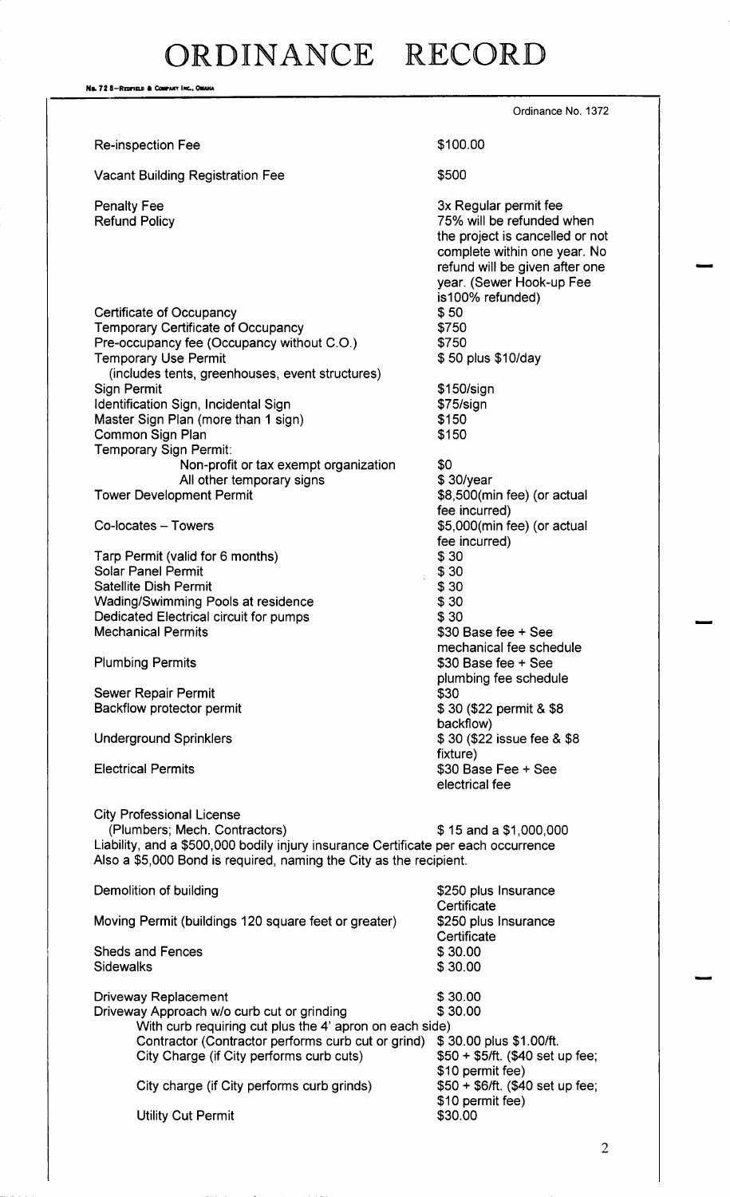# DR DIN ANCE RECORD

No. 72 8-REDFIELD & COMPANY INC., OMAIA Ordinance No. 1372 Re-inspection Fee 100.00 Vacant Building Registration Fee **5500** Penalty Fee 3x Regular permit fee 3x Regular permit fee 3x Regular permit fee 3x Regular permit fee 3x Regular permit fee 3x Regular permit fee 3x Regular permit fee 3x Regular permit fee 3x Regular permit fee 3x 8x 8x 8x 75% will be refunded when the project is cancelled or not complete within one year. No refund will be given after one year. (Sewer Hook-up Fee is100% refunded) Certificate of Occupancy 50 Temporary Certificate of Occupancy<br>Pre-occupancy fee (Occupancy without C.O.) \$750 Pre- occupancy fee ( Occupancy without C. O.) 750 Temporary Use Permit includes tents, greenhouses, event structures) Sign Permit **150/ sign** \$150/ sign Identification Sign, Incidental Sign 75/ sign \$75/ sign Master Sign Plan (more than 1 sign) 150 Common Sign Plan 150 Temporary Sign Permit: Non-profit or tax exempt organization  $$30$ /year<br>All other temporary signs  $$30$ /year All other temporary signs  $$30/year$ <br>oment Permit signs  $$8,500(min}$  fee) (or actual Tower Development Permit fee incurred) Co-locates – Towers **6, 1000 Co-locates** – Towers **5, 000** Co-locates – Towers **5, 000** Co-locates – Towers fee incurred) Tarp Permit (valid for 6 months)  $$30$ <br>Solar Panel Permit  $$30$ **Solar Panel Permit** Satellite Dish Permit<br>Wading/Swimming Pools at residence  $\frac{\$30}{\$30}$ Wading/Swimming Pools at residence  $$30$ <br>Dedicated Electrical circuit for pumps  $$30$ Dedicated Electrical circuit for pumps<br>Mechanical Permits  $$30$  Base fee + See mechanical fee schedule Plumbing Permits 30 Base fee + See plumbing fee schedule<br>\$30 Sewer Repair Permit Backflow protector permit 30 and 30 (\$22 permit & \$8 backflow) Underground Sprinklers 30 (\$22 issue fee & \$8 fixture) Electrical Permits 30 Base Fee + See electrical fee City Professional License (Plumbers; Mech. Contractors)  $$ 15$  and a \$1,000,000 Liability, and a \$500,000 bodily injury insurance Certificate per each occurrence Also a \$5,000 Bond is required, naming the City as the recipient. Demolition of building 250 plus Insurance **Certificate** Moving Permit (buildings 120 square feet or greater) \$250 plus Insurance **Certificate** Sheds and Fences 30.00 Sidewalks \$30.00 Driveway Replacement \$30.00<br>Driveway Approach w/o curb cut or grinding \$30.00 Driveway Approach w/o curb cut or grinding With curb requiring cut plus the 4' apron on each side)<br>Contractor (Contractor performs curb cut or grind) \$30.00 plus \$1.00/ft. Contractor ( Contractor performs curb cut or grind) \$ 30.00 plus \$1.00/ft.<br>City Charge (if City performs curb cuts) \$50 + \$5/ft. (\$40 set up fee; City Charge (if City performs curb cuts) \$10 permit fee)<br>\$50 + \$6/ft. (\$40 set up fee; City charge (if City performs curb grinds) \$10 permit fee)<br>\$30.00 **Utility Cut Permit**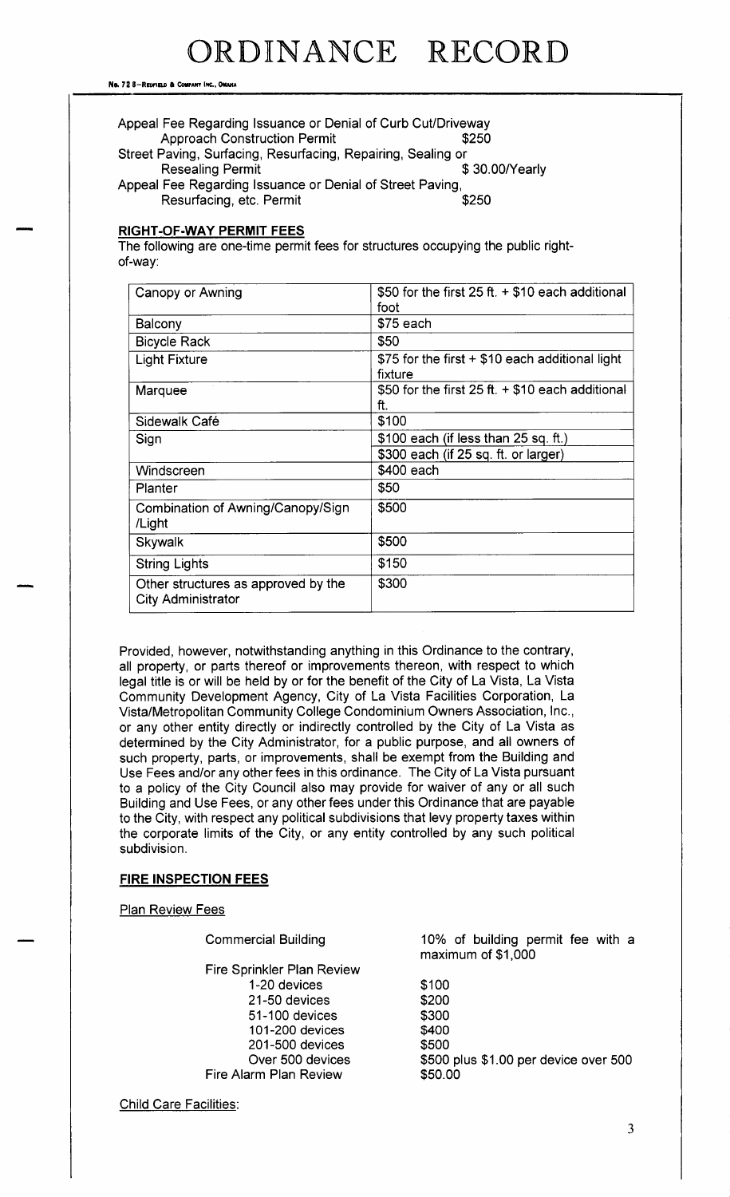No. 72 8-REDFIELD & COMPANY INC., OMANA

| Appeal Fee Regarding Issuance or Denial of Curb Cut/Driveway |                |  |  |  |  |
|--------------------------------------------------------------|----------------|--|--|--|--|
| <b>Approach Construction Permit</b>                          | \$250          |  |  |  |  |
| Street Paving, Surfacing, Resurfacing, Repairing, Sealing or |                |  |  |  |  |
| <b>Resealing Permit</b>                                      | \$30.00/Yearly |  |  |  |  |
| Appeal Fee Regarding Issuance or Denial of Street Paving,    |                |  |  |  |  |
| Resurfacing, etc. Permit                                     | \$250          |  |  |  |  |

### RIGHT-OF-WAY PERMIT FEES

The following are one-time permit fees for structures occupying the public rightof-way:

| Canopy or Awning                                                 | \$50 for the first $25 ft + $10$ each additional<br>foot    |
|------------------------------------------------------------------|-------------------------------------------------------------|
| Balcony                                                          | $$75$ each                                                  |
| <b>Bicycle Rack</b>                                              | \$50                                                        |
| <b>Light Fixture</b>                                             | \$75 for the first + \$10 each additional light<br>fixture  |
| Marquee                                                          | \$50 for the first $25$ ft. $+$ \$10 each additional<br>ft. |
| Sidewalk Café                                                    | \$100                                                       |
| Sign                                                             | $$100$ each (if less than 25 sq. ft.)                       |
|                                                                  | \$300 each (if 25 sq. ft. or larger)                        |
| Windscreen                                                       | \$400 each                                                  |
| Planter                                                          | \$50                                                        |
| Combination of Awning/Canopy/Sign<br>/Light                      | \$500                                                       |
| <b>Skywalk</b>                                                   | \$500                                                       |
| <b>String Lights</b>                                             | \$150                                                       |
| Other structures as approved by the<br><b>City Administrator</b> | \$300                                                       |

Provided, however, notwithstanding anything in this Ordinance to the contrary, all property, or parts thereof or improvements thereon, with respect to which legal title is or will be held by or for the benefit of the City of La Vista, La Vista Community Development Agency, City of La Vista Facilities Corporation, La Vista/ Metropolitan Community College Condominium Owners Association, Inc., or any other entity directly or indirectly controlled by the City of La Vista as determined by the City Administrator, for a public purpose, and all owners of such property, parts, or improvements, shall be exempt from the Building and Use Fees and/or any other fees in this ordinance. The City of La Vista pursuant to a policy of the City Council also may provide for waiver of any or all such Building and Use Fees, or any other fees under this Ordinance that are payable to the City, with respect any political subdivisions that levy property taxes within the corporate limits of the City, or any entity controlled by any such political subdivision.

## FIRE INSPECTION FEES

Plan Review Fees

Fire Sprinkler Plan Review 1-20 devices 5100 21-50 devices 3200 51- 100 devices 300 101-200 devices \$400 201- 500 devices 500 Fire Alarm Plan Review

Commercial Building 10% of building permit fee with <sup>a</sup> maximum of \$1,000

Over 500 devices  $\frac{$500}{100}$  \$500 plus \$1.00 per device over 500 arm Plan Review

Child Care Facilities: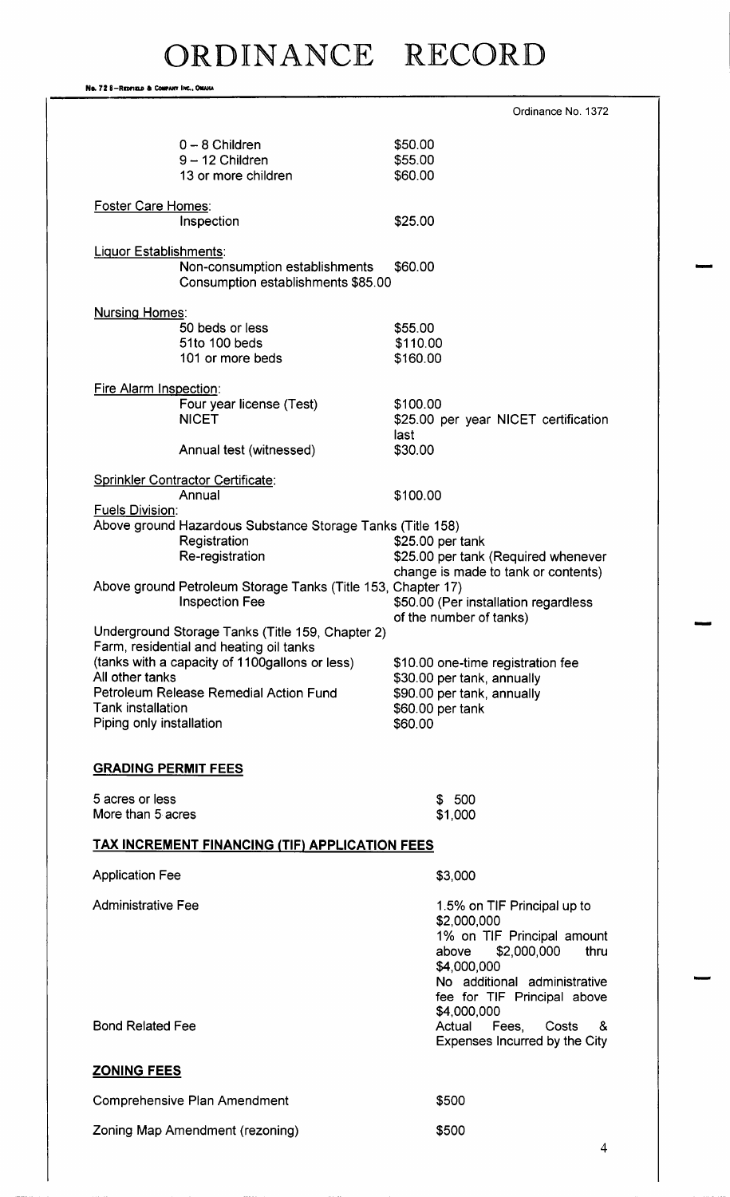No. 72 8-REDFIELD & COMPANY INC., OMAHA

|                                                                                             | Ordinance No. 1372                                                         |
|---------------------------------------------------------------------------------------------|----------------------------------------------------------------------------|
| $0 - 8$ Children                                                                            | \$50.00                                                                    |
| $9 - 12$ Children                                                                           | \$55.00                                                                    |
| 13 or more children                                                                         | \$60.00                                                                    |
| <b>Foster Care Homes:</b>                                                                   |                                                                            |
| Inspection                                                                                  | \$25.00                                                                    |
| <b>Liquor Establishments:</b>                                                               |                                                                            |
| Non-consumption establishments<br>Consumption establishments \$85.00                        | \$60.00                                                                    |
| <b>Nursing Homes:</b>                                                                       |                                                                            |
| 50 beds or less                                                                             | \$55.00                                                                    |
| 51to 100 beds                                                                               | \$110.00                                                                   |
| 101 or more beds                                                                            | \$160.00                                                                   |
| <b>Fire Alarm Inspection:</b>                                                               |                                                                            |
| Four year license (Test)                                                                    | \$100.00                                                                   |
| <b>NICET</b>                                                                                | \$25.00 per year NICET certification                                       |
|                                                                                             | last                                                                       |
| Annual test (witnessed)                                                                     | \$30.00                                                                    |
| <b>Sprinkler Contractor Certificate:</b>                                                    |                                                                            |
| Annual                                                                                      | \$100.00                                                                   |
| <b>Fuels Division:</b>                                                                      |                                                                            |
| Above ground Hazardous Substance Storage Tanks (Title 158)                                  |                                                                            |
| Registration                                                                                | \$25.00 per tank                                                           |
| Re-registration                                                                             | \$25.00 per tank (Required whenever                                        |
|                                                                                             | change is made to tank or contents)                                        |
| Above ground Petroleum Storage Tanks (Title 153, Chapter 17)<br><b>Inspection Fee</b>       |                                                                            |
|                                                                                             | \$50.00 (Per installation regardless<br>of the number of tanks)            |
| Underground Storage Tanks (Title 159, Chapter 2)<br>Farm, residential and heating oil tanks |                                                                            |
| (tanks with a capacity of 1100gallons or less)                                              | \$10.00 one-time registration fee                                          |
| All other tanks                                                                             | \$30.00 per tank, annually                                                 |
| Petroleum Release Remedial Action Fund                                                      | \$90.00 per tank, annually                                                 |
| <b>Tank installation</b>                                                                    | \$60.00 per tank                                                           |
| Piping only installation                                                                    | \$60.00                                                                    |
| <b>GRADING PERMIT FEES</b>                                                                  |                                                                            |
| 5 acres or less                                                                             | \$500                                                                      |
| More than 5 acres                                                                           | \$1,000                                                                    |
| <b>TAX INCREMENT FINANCING (TIF) APPLICATION FEES</b>                                       |                                                                            |
| <b>Application Fee</b>                                                                      | \$3,000                                                                    |
| <b>Administrative Fee</b>                                                                   | 1.5% on TIF Principal up to<br>\$2,000,000                                 |
|                                                                                             | 1% on TIF Principal amount<br>\$2,000,000<br>above<br>thru<br>\$4,000,000  |
|                                                                                             | No additional administrative<br>fee for TIF Principal above<br>\$4,000,000 |
| <b>Bond Related Fee</b>                                                                     | Actual<br>Fees,<br>Costs<br>&<br>Expenses Incurred by the City             |
| <b>ZONING FEES</b>                                                                          |                                                                            |
| <b>Comprehensive Plan Amendment</b>                                                         | \$500                                                                      |
|                                                                                             | \$500                                                                      |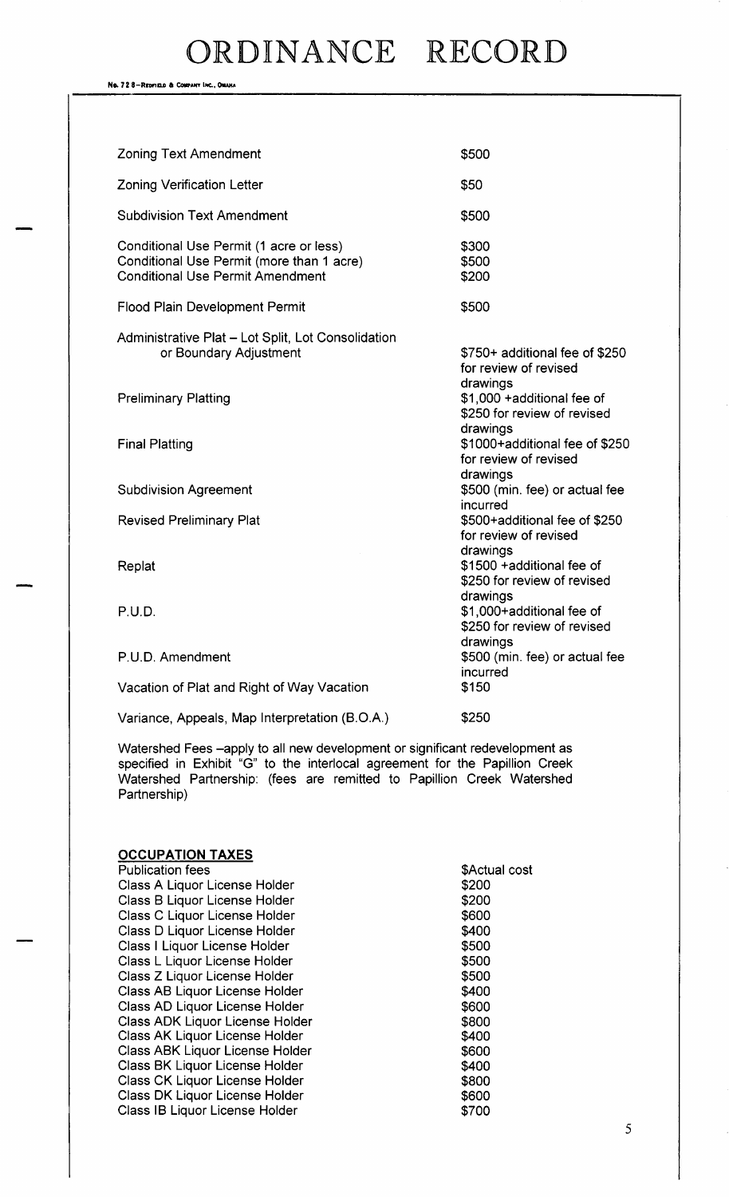No. 72 8-REDFIELD & COMPANY INC., OMAHA

| <b>Zoning Text Amendment</b>                                                                                                    | \$500                                                                  |
|---------------------------------------------------------------------------------------------------------------------------------|------------------------------------------------------------------------|
| <b>Zoning Verification Letter</b>                                                                                               | \$50                                                                   |
| <b>Subdivision Text Amendment</b>                                                                                               | \$500                                                                  |
| Conditional Use Permit (1 acre or less)<br>Conditional Use Permit (more than 1 acre)<br><b>Conditional Use Permit Amendment</b> | \$300<br>\$500<br>\$200                                                |
| <b>Flood Plain Development Permit</b>                                                                                           | \$500                                                                  |
| Administrative Plat - Lot Split, Lot Consolidation<br>or Boundary Adjustment                                                    | \$750+ additional fee of \$250<br>for review of revised                |
| <b>Preliminary Platting</b>                                                                                                     | drawings<br>\$1,000 + additional fee of<br>\$250 for review of revised |
| <b>Final Platting</b>                                                                                                           | drawings<br>\$1000+additional fee of \$250<br>for review of revised    |
| <b>Subdivision Agreement</b>                                                                                                    | drawings<br>\$500 (min. fee) or actual fee<br>incurred                 |
| <b>Revised Preliminary Plat</b>                                                                                                 | \$500+additional fee of \$250<br>for review of revised                 |
| Replat                                                                                                                          | drawings<br>\$1500 + additional fee of<br>\$250 for review of revised  |
| P.U.D.                                                                                                                          | drawings<br>\$1,000+additional fee of<br>\$250 for review of revised   |
| P.U.D. Amendment                                                                                                                | drawings<br>\$500 (min. fee) or actual fee<br>incurred                 |
| Vacation of Plat and Right of Way Vacation                                                                                      | \$150                                                                  |
| Variance, Appeals, Map Interpretation (B.O.A.)                                                                                  | \$250                                                                  |

Watershed Fees —apply to all new development or significant redevelopment as specified in Exhibit "G" to the interlocal agreement for the Papillion Creek Watershed Partnership: (fees are remitted to Papillion Creek Watershed Partnership)

## **OCCUPATION TAXES**

Publication fees **Actual cost** SActual cost Class A Liquor License Holder 200 Class B Liquor License Holder<br>Class C Liquor License Holder 3600 Class C Liquor License Holder Class D Liquor License Holder 400 Class I Liquor License Holder 5500 Class L Liquor License Holder **500** Class Z Liquor License Holder<br>Class AB Liquor License Holder 5400 Class AB Liquor License Holder Class AD Liquor License Holder 600 600 Class ADK Liquor License Holder \$800<br>Class AK Liquor License Holder \$400 Class AK Liquor License Holder Class ABK Liquor License Holder 600 \$600 Class BK Liquor License Holder 400 Class CK Liquor License Holder 800 Class DK Liquor License Holder 600 Class IB Liquor License Holder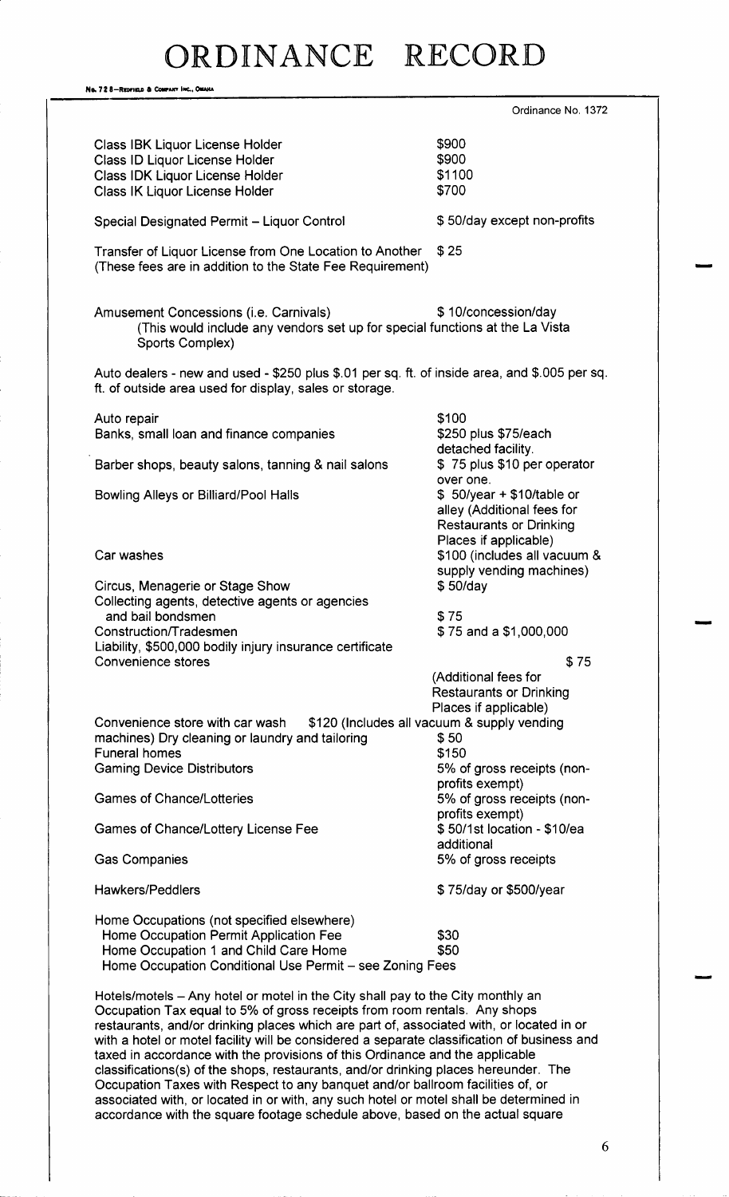No. 72 8-REDFIELD & COMPANY INC., OMANA Ordinance No. 1372 Class IBK Liquor License Holder 9000 Class ID Liquor License Holder 9000 Class IDK Liquor License Holder 1100 Class IK Liquor License Holder 700 Special Designated Permit - Liquor Control **50/day except non-profits** Transfer of Liquor License from One Location to Another \$25 These fees are in addition to the State Fee Requirement) Amusement Concessions (i.e. Carnivals)  $$10$ /concession/day This would include any vendors set up for special functions at the La Vista Sports Complex) Auto dealers - new and used - \$250 plus \$.01 per sq. ft. of inside area, and \$.005 per sq. ft. of outside area used for display, sales or storage. Auto repair 100 \$100 Banks, small loan and finance companies **250** \$250 plus \$75/ each detached facility.<br>\$75 plus \$10 per operator Barber shops, beauty salons, tanning & nail salons over one. Bowling Alleys or Billiard/Pool Halls 50/year + \$10/table or alley ( Additional fees for Restaurants or Drinking Places if applicable) Car washes **100** Car washes **100** Car washes **6** Car washes **6** Car washes **6** Car washes **6** Car was much a set of  $\alpha$  of  $\alpha$  of  $\alpha$  of  $\alpha$  of  $\alpha$  or  $\alpha$  of  $\alpha$  or  $\alpha$  or  $\alpha$  or  $\alpha$  or  $\alpha$  or  $\alpha$  or  $\alpha$  or  $\$ supply vending machines)<br>\$50/day Circus, Menagerie or Stage Show Collecting agents, detective agents or agencies and bail bondsmen 75 \$75 and a \$1,000,000 Liability, \$500,000 bodily injury insurance certificate Convenience stores 75 Additional fees for Restaurants or Drinking Places if applicable) Convenience store with car wash \$120 (Includes all vacuum & supply vending machines) Dry cleaning or laundry and tailoring \$50 machines) Dry cleaning or laundry and tailoring  $$50$ <br>Funeral homes \$150 Funeral homes<br>Gaming Device Distributors 5% of gross receipts (nonprofits exempt)<br>5% of gross receipts (non-Games of Chance/Lotteries profits exempt)<br>\$50/1st location - \$10/ea Games of Chance/Lottery License Fee additional Gas Companies 6% of gross receipts Hawkers/ Peddlers 75/ day or\$ 500/ year Home Occupations (not specified elsewhere) Home Occupation Permit Application Fee  $$30$ Home Occupation 1 and Child Care Home 550 Home Occupation Conditional Use Permit— see Zoning Fees Hotels/motels - Any hotel or motel in the City shall pay to the City monthly an Occupation Tax equal to 5% of gross receipts from room rentals. Any shops restaurants, and/or drinking places which are part of, associated with, or located in or with a hotel or motel facility will be considered a separate classification of business and

taxed in accordance with the provisions of this Ordinance and the applicable classifications(s) of the shops, restaurants, and/or drinking places hereunder. The Occupation Taxes with Respect to any banquet and/or ballroom facilities of, or associated with, or located in or with, any such hotel or motel shall be determined in accordance with the square footage schedule above, based on the actual square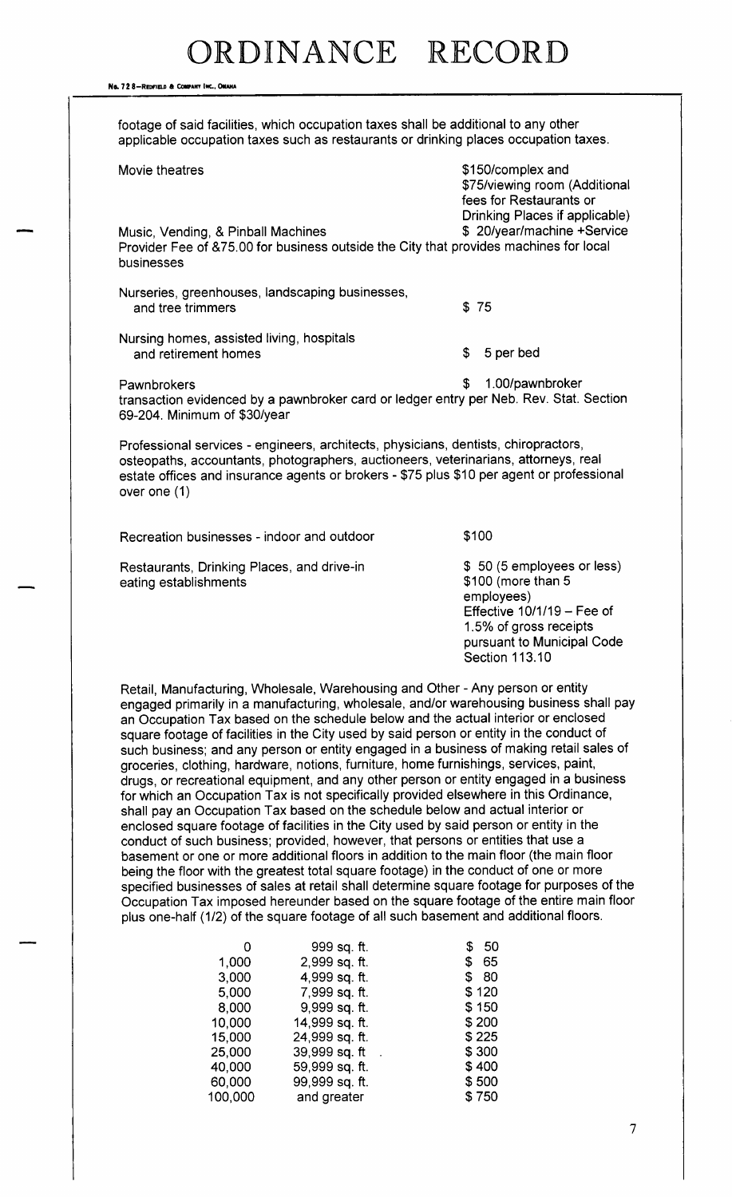Na. 72 8-Reprized & COMPANY INC., OMAHA footage of said facilities, which occupation taxes shall be additional to any other applicable occupation taxes such as restaurants or drinking places occupation taxes. Movie theatres 150/ complex and 150/ complex and 150/ complex and 150/ complex and 150/ complex and 150/ complex and 150/ complex and 150/ complex and 150/ complex and 150/ complex and 150/ complex and 150/ complex and 150 \$75/ viewing room (Additional fees for Restaurants or Drinking Places if applicable)<br>\$ 20/year/machine +Service Music, Vending, & Pinball Machines Provider Fee of & 75.00 for business outside the City that provides machines for local businesses Nurseries, greenhouses, landscaping businesses, and tree trimmers **3** 75 Nursing homes, assisted living, hospitals and retirement homes 5 per bed Pawnbrokers 1. 00/ pawnbroker transaction evidenced by a pawnbroker card or ledger entry per Neb. Rev. Stat. Section 69-204. Minimum of \$30/year Professional services - engineers, architects, physicians, dentists, chiropractors, osteopaths, accountants, photographers, auctioneers, veterinarians, attorneys, real estate offices and insurance agents or brokers - \$75 plus \$10 per agent or professional over one (1) Recreation businesses - indoor and outdoor  $$100$ Restaurants, Drinking Places, and drive-in  $$50$  (5 employees or less)<br>eating establishments  $$100$  (more than 5 eating establishments employees) Effective  $10/1/19$  – Fee of 1. 5% of gross receipts pursuant to Municipal Code Section 113. 10 Retail, Manufacturing, Wholesale, Warehousing and Other- Any person or entity engaged primarily in a manufacturing, wholesale, and/or warehousing business shall pay an Occupation Tax based on the schedule below and the actual interior or enclosed square footage of facilities in the City used by said person or entity in the conduct of such business; and any person or entity engaged in a business of making retail sales of groceries, clothing, hardware, notions, furniture, home furnishings, services, paint, drugs, or recreational equipment, and any other person or entity engaged in a business for which an Occupation Tax is not specifically provided elsewhere in this Ordinance, shall pay an Occupation Tax based on the schedule below and actual interior or

enclosed square footage of facilities in the City used by said person or entity in the conduct of such business; provided, however, that persons or entities that use a basement or one or more additional floors in addition to the main floor ( the main floor being the floor with the greatest total square footage) in the conduct of one or more specified businesses of sales at retail shall determine square footage for purposes of the Occupation Tax imposed hereunder based on the square footage of the entire main floor plus one-half (1/2) of the square footage of all such basement and additional floors.

|         | 999 sq. ft.    | 50<br>\$  |
|---------|----------------|-----------|
| 1,000   | 2,999 sq. ft.  | 65<br>\$  |
| 3,000   | 4,999 sq. ft.  | 80<br>\$. |
| 5,000   | 7,999 sq. ft.  | \$120     |
| 8,000   | 9,999 sq. ft.  | \$150     |
| 10,000  | 14,999 sq. ft. | \$200     |
| 15,000  | 24,999 sq. ft. | \$ 225    |
| 25,000  | 39,999 sq. ft  | \$300     |
| 40,000  | 59,999 sq. ft. | \$400     |
| 60,000  | 99,999 sq. ft. | \$500     |
| 100,000 | and greater    | \$750     |
|         |                |           |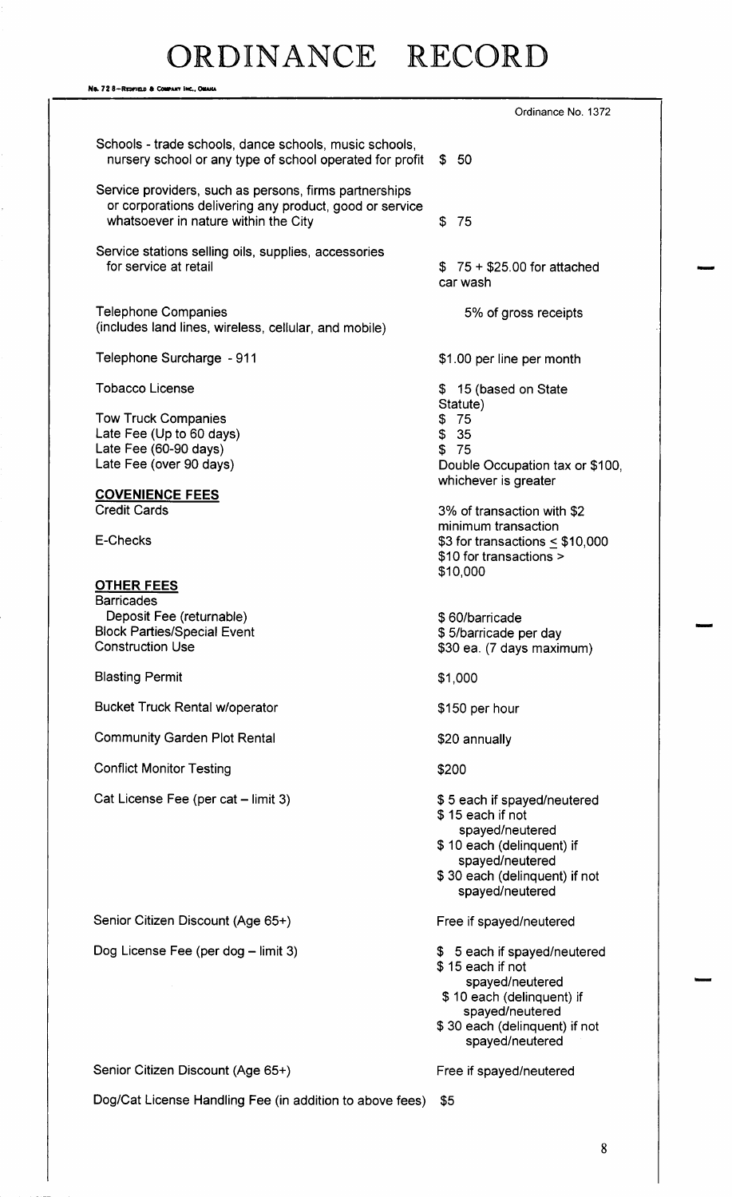Ns. 72 8-REDFIELD & COMPANY INC., OMANA Ordinance No. 1372 Schools - trade schools, dance schools, music schools, nursery school or any type of school operated for profit \$ 50 Service providers, such as persons, firms partnerships or corporations delivering any product, good or service whatsoever in nature within the City **75** Service stations selling oils, supplies, accessories<br>for service at retail  $$75 + $25.00$  for attached car wash Telephone Companies 6 and 100 minutes of 5% of gross receipts includes land lines, wireless, cellular, and mobile) Telephone Surcharge - 911 1.00 per line per month Tobacco License 15 (based on State 15 (based on State Statute) Tow Truck Companies 75 Late Fee (Up to 60 days)  $$35$ <br>
Late Fee (60-90 days)  $$75$ Late Fee  $(60-90 \text{ days})$ Late Fee (over 90 days) Late Fee (over 90 days) whichever is greater COVENIENCE FEES Credit Cards 3% of transaction with \$2 minimum transaction E-Checks  $$3$  for transactions  $\leq $10,000$ \$10 for transactions > \$10,000 OTHER FEES **Barricades** Deposit Fee ( returnable) 60/ barricade Block Parties/Special Event<br>Construction Use \$30 ea. (7 days maximum) Blasting Permit 31,000 Bucket Truck Rental w/operator 150 per hour 150 per hour Community Garden Plot Rental 20 annually Conflict Monitor Testing 200 Cat License Fee (per cat – limit 3) 5 each if spayed/neutered 15 each if not spayed/neutered \$ 10 each (delinquent) if spayed/neutered \$30 each (delinquent) if not spayed/neutered Senior Citizen Discount (Age 65+) Free if spayed/neutered Dog License Fee (per dog – limit 3) 5 each if spayed/neutered 15 each if not spayed/neutered \$ 10 each (delinquent) if spayed/neutered 30 each ( delinquent) if not spayed/neutered Senior Citizen Discount (Age 65+) Free if spayed/neutered Dog/Cat License Handling Fee (in addition to above fees) \$5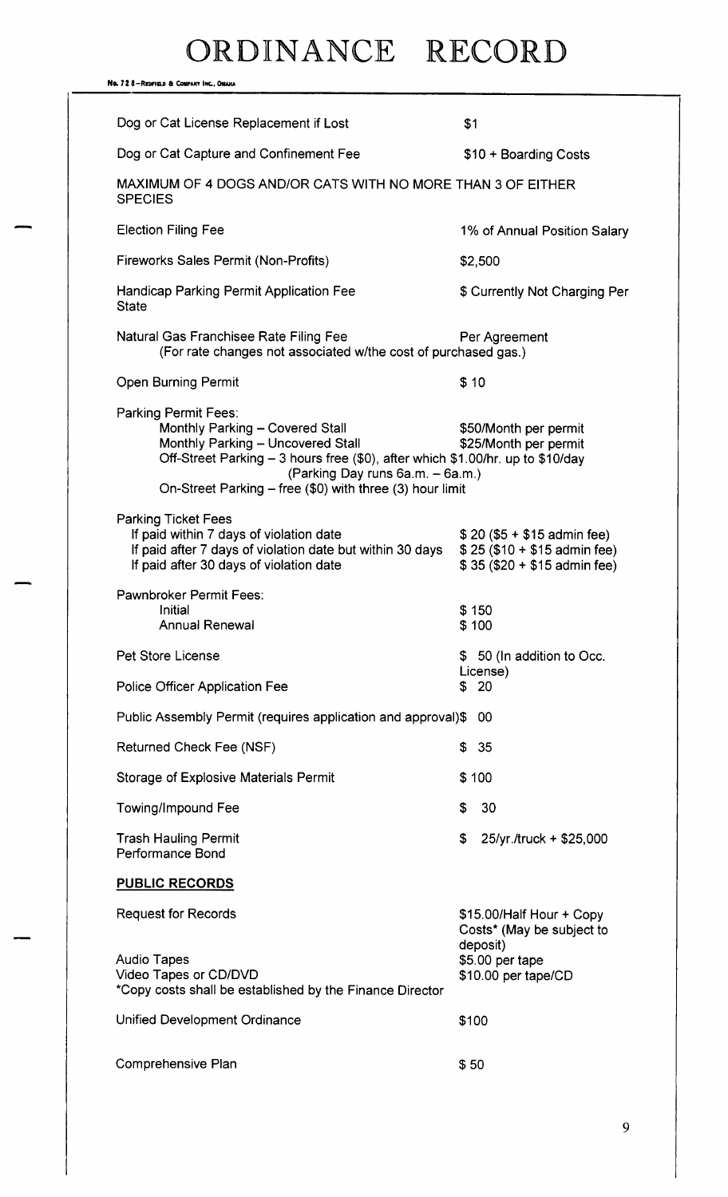| No. 728-Redfield & Company Inc., Omaha                                                                                                                                                                                                                                                |                                                                                                             |
|---------------------------------------------------------------------------------------------------------------------------------------------------------------------------------------------------------------------------------------------------------------------------------------|-------------------------------------------------------------------------------------------------------------|
| Dog or Cat License Replacement if Lost                                                                                                                                                                                                                                                | \$1                                                                                                         |
| Dog or Cat Capture and Confinement Fee                                                                                                                                                                                                                                                | \$10 + Boarding Costs                                                                                       |
| MAXIMUM OF 4 DOGS AND/OR CATS WITH NO MORE THAN 3 OF EITHER<br><b>SPECIES</b>                                                                                                                                                                                                         |                                                                                                             |
| <b>Election Filing Fee</b>                                                                                                                                                                                                                                                            | 1% of Annual Position Salary                                                                                |
| Fireworks Sales Permit (Non-Profits)                                                                                                                                                                                                                                                  | \$2,500                                                                                                     |
| Handicap Parking Permit Application Fee<br><b>State</b>                                                                                                                                                                                                                               | \$ Currently Not Charging Per                                                                               |
| Natural Gas Franchisee Rate Filing Fee<br>(For rate changes not associated w/the cost of purchased gas.)                                                                                                                                                                              | Per Agreement                                                                                               |
| <b>Open Burning Permit</b>                                                                                                                                                                                                                                                            | \$10                                                                                                        |
| <b>Parking Permit Fees:</b><br>Monthly Parking - Covered Stall<br>Monthly Parking - Uncovered Stall<br>Off-Street Parking - 3 hours free (\$0), after which \$1.00/hr. up to \$10/day<br>(Parking Day runs 6a.m. - 6a.m.)<br>On-Street Parking – free (\$0) with three (3) hour limit | \$50/Month per permit<br>\$25/Month per permit                                                              |
| <b>Parking Ticket Fees</b><br>If paid within 7 days of violation date<br>If paid after 7 days of violation date but within 30 days<br>If paid after 30 days of violation date                                                                                                         | $$20 ($5 + $15$)$ admin fee)<br>$$25 ($10 + $15$)$ admin fee)<br>$$35 ($20 + $15$)$ admin fee)              |
| <b>Pawnbroker Permit Fees:</b><br>Initial<br><b>Annual Renewal</b>                                                                                                                                                                                                                    | \$150<br>\$100                                                                                              |
| Pet Store License                                                                                                                                                                                                                                                                     | \$ 50 (In addition to Occ.                                                                                  |
| <b>Police Officer Application Fee</b>                                                                                                                                                                                                                                                 | License)<br>20<br>\$                                                                                        |
| Public Assembly Permit (requires application and approval)\$                                                                                                                                                                                                                          | 00                                                                                                          |
| Returned Check Fee (NSF)                                                                                                                                                                                                                                                              | 35<br>\$                                                                                                    |
| <b>Storage of Explosive Materials Permit</b>                                                                                                                                                                                                                                          | \$100                                                                                                       |
| <b>Towing/Impound Fee</b>                                                                                                                                                                                                                                                             | \$<br>30                                                                                                    |
| <b>Trash Hauling Permit</b><br>Performance Bond                                                                                                                                                                                                                                       | \$<br>25/yr./truck + \$25,000                                                                               |
| <b>PUBLIC RECORDS</b>                                                                                                                                                                                                                                                                 |                                                                                                             |
| <b>Request for Records</b><br><b>Audio Tapes</b><br>Video Tapes or CD/DVD<br>*Copy costs shall be established by the Finance Director                                                                                                                                                 | \$15.00/Half Hour + Copy<br>Costs* (May be subject to<br>deposit)<br>\$5.00 per tape<br>\$10.00 per tape/CD |
| Unified Development Ordinance                                                                                                                                                                                                                                                         | \$100                                                                                                       |
| Comprehensive Plan                                                                                                                                                                                                                                                                    | \$50                                                                                                        |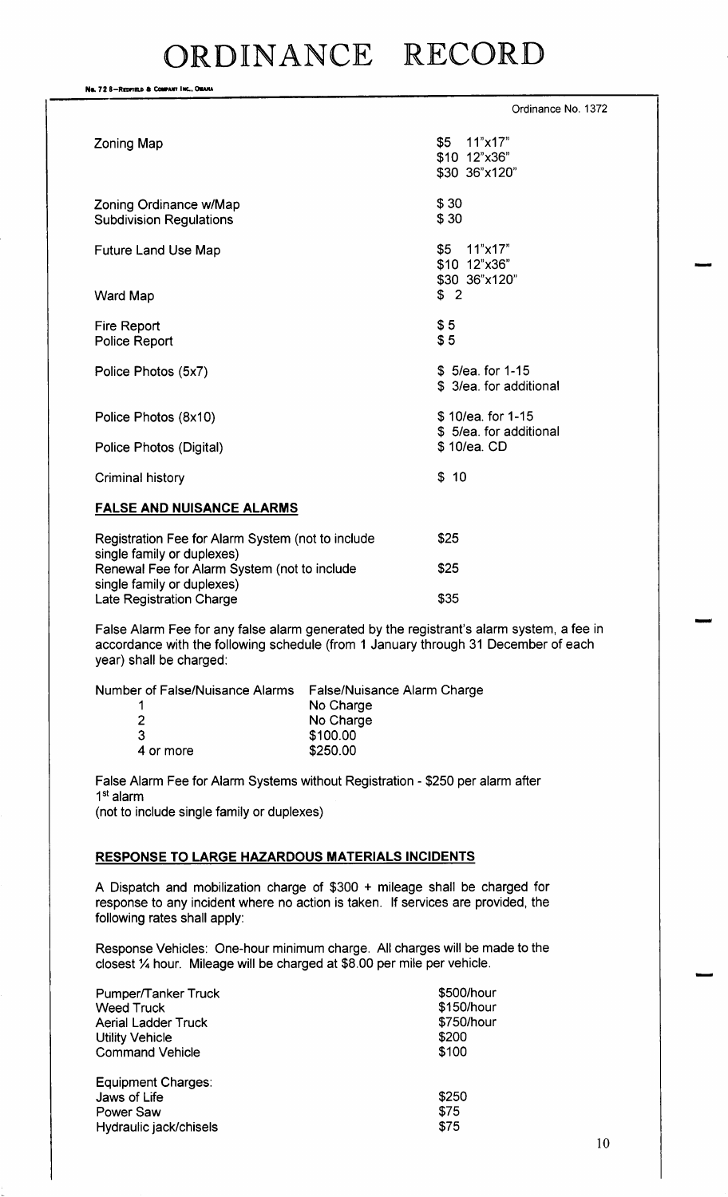No. 72 8-REDFIELD & COMPANY INC., OMAHA Ordinance No. 1372 Zoning Map 55 11" x17" \$10 12"x36" 30 36" x120" Zoning Ordinance w/Map  $$30$ <br>Subdivision Regulations  $$30$ **Subdivision Regulations** Future Land Use Map 5 11"x17" \$10 12"x36" 30 36" x120" Ward Map 3 2 Fire Report \$5<br>Police Report \$5 Police Report Police Photos (5x7) 5/ 5/ 5/ 5/ 5/ 5/ 5/ 5/ 5/ 5/ 5/ 62. for 1-15 \$ 3/ea. for additional Police Photos ( 8x10) 10/ ea. for 1- 15 \$ 5/ea. for additional Police Photos (Digital) 10/ 6 10/ 6 10/ 6 10/ 6 10 Criminal history \$10 FALSE AND NUISANCE ALARMS Registration Fee for Alarm System (not to include  $$25$ 

single family or duplexes) Renewal Fee for Alarm System (not to include  $$25$ single family or duplexes) Late Registration Charge 355

False Alarm Fee for any false alarm generated by the registrant's alarm system, a fee in accordance with the following schedule ( from <sup>1</sup> January through 31 December of each year) shall be charged:

| Number of False/Nuisance Alarms False/Nuisance Alarm Charge |           |
|-------------------------------------------------------------|-----------|
|                                                             | No Charge |
|                                                             | No Charge |
| 3                                                           | \$100.00  |
| 4 or more                                                   | \$250.00  |

False Alarm Fee for Alarm Systems without Registration - \$250 per alarm after 1<sup>st</sup> alarm not to include single family or duplexes)

## RESPONSE TO LARGE HAZARDOUS MATERIALS INCIDENTS

A Dispatch and mobilization charge of  $$300 +$  mileage shall be charged for response to any incident where no action is taken. If services are provided, the following rates shall apply:

Response Vehicles: One-hour minimum charge. All charges will be made to the closest '/4 hour. Mileage will be charged at \$8.00 per mile per vehicle.

| Pumper/Tanker Truck        | \$500/hou  |
|----------------------------|------------|
| <b>Weed Truck</b>          | \$150/hour |
| <b>Aerial Ladder Truck</b> | \$750/hou  |
| <b>Utility Vehicle</b>     | \$200      |
| <b>Command Vehicle</b>     | \$100      |
| Equipment Charges:         |            |
| Jaws of Life               | \$250      |
| Power Saw                  | \$75       |
| Hydraulic jack/chisels     | \$75       |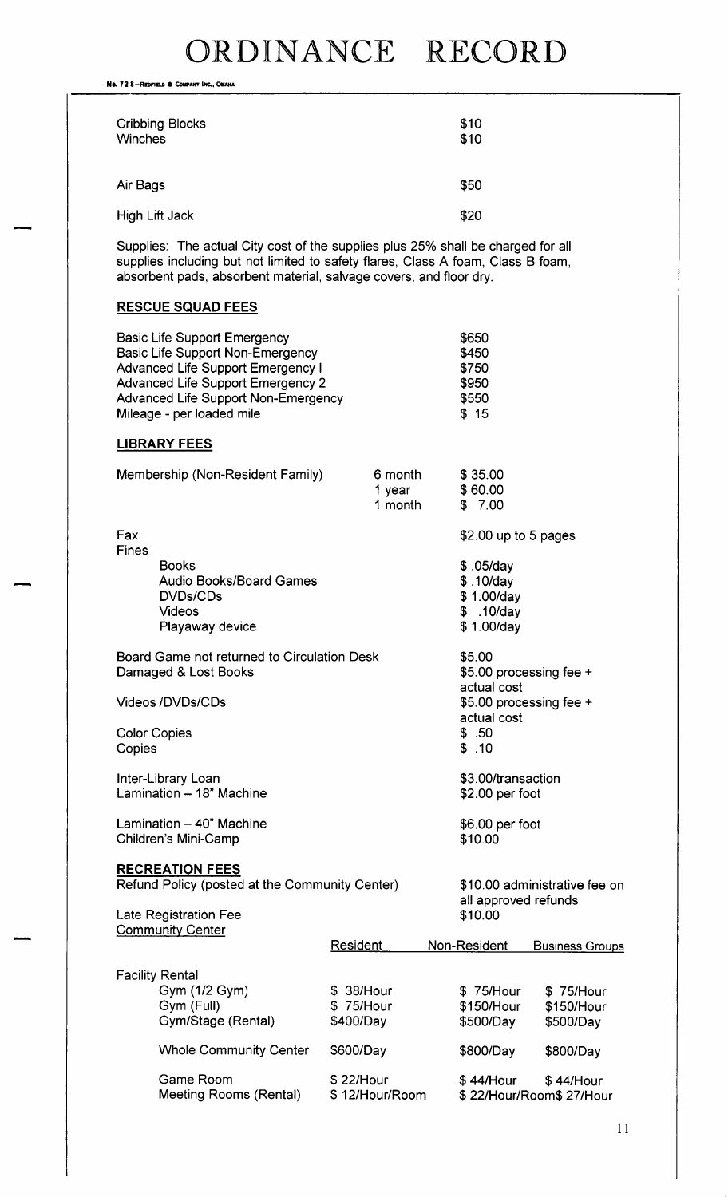No. 72 8-REDFIELD & COMPANY INC., OMAHA

| <b>Cribbing Blocks</b><br><b>Winches</b> | \$10<br>\$10 |
|------------------------------------------|--------------|
| Air Bags                                 | \$50         |
| <b>High Lift Jack</b>                    | \$20         |

Supplies: The actual City cost of the supplies plus 25% shall be charged for all supplies including but not limited to safety flares, Class A foam, Class B foam, absorbent pads, absorbent material, salvage covers, and floor dry.

## RESCUE SQUAD FEES

|                                                                     | <b>Basic Life Support Emergency</b><br><b>Basic Life Support Non-Emergency</b><br><b>Advanced Life Support Emergency I</b><br><b>Advanced Life Support Emergency 2</b><br><b>Advanced Life Support Non-Emergency</b><br>Mileage - per loaded mile |                             |                                        | \$650<br>\$450<br>\$750<br>\$950<br>\$550<br>\$15                 |  |                                      |
|---------------------------------------------------------------------|---------------------------------------------------------------------------------------------------------------------------------------------------------------------------------------------------------------------------------------------------|-----------------------------|----------------------------------------|-------------------------------------------------------------------|--|--------------------------------------|
|                                                                     | <b>LIBRARY FEES</b>                                                                                                                                                                                                                               |                             |                                        |                                                                   |  |                                      |
|                                                                     | Membership (Non-Resident Family)                                                                                                                                                                                                                  |                             | 6 month<br>1 year<br>1 month           | \$35.00<br>\$60.00<br>\$7.00                                      |  |                                      |
| Fax                                                                 |                                                                                                                                                                                                                                                   |                             |                                        | $$2.00$ up to 5 pages                                             |  |                                      |
| Fines                                                               | <b>Books</b><br><b>Audio Books/Board Games</b><br><b>DVDs/CDs</b><br><b>Videos</b><br>Playaway device                                                                                                                                             |                             |                                        | $$.05$ /day<br>\$.10/day<br>\$1.00/day<br>\$.10/day<br>\$1.00/day |  |                                      |
| Board Game not returned to Circulation Desk<br>Damaged & Lost Books |                                                                                                                                                                                                                                                   |                             |                                        | \$5.00<br>\$5.00 processing fee +<br>actual cost                  |  |                                      |
| Videos /DVDs/CDs                                                    |                                                                                                                                                                                                                                                   |                             | \$5.00 processing fee +<br>actual cost |                                                                   |  |                                      |
| <b>Color Copies</b><br>Copies                                       |                                                                                                                                                                                                                                                   |                             |                                        | \$.50<br>\$.10                                                    |  |                                      |
|                                                                     | Inter-Library Loan<br>Lamination - 18" Machine                                                                                                                                                                                                    |                             |                                        | \$3.00/transaction<br>\$2.00 per foot                             |  |                                      |
| Lamination $-40$ " Machine<br>Children's Mini-Camp                  |                                                                                                                                                                                                                                                   |                             | \$6.00 per foot<br>\$10.00             |                                                                   |  |                                      |
|                                                                     | <b>RECREATION FEES</b>                                                                                                                                                                                                                            |                             |                                        |                                                                   |  |                                      |
|                                                                     | Refund Policy (posted at the Community Center)                                                                                                                                                                                                    |                             |                                        | \$10.00 administrative fee on<br>all approved refunds             |  |                                      |
|                                                                     | Late Registration Fee<br><b>Community Center</b>                                                                                                                                                                                                  |                             |                                        | \$10.00                                                           |  |                                      |
|                                                                     |                                                                                                                                                                                                                                                   | Resident                    |                                        | Non-Resident                                                      |  | <b>Business Groups</b>               |
| <b>Facility Rental</b>                                              |                                                                                                                                                                                                                                                   |                             |                                        |                                                                   |  |                                      |
|                                                                     | Gym (1/2 Gym)<br>Gym (Full)                                                                                                                                                                                                                       | 38/Hour<br>S.<br>\$75/Hour  |                                        | \$75/Hour<br>\$150/Hour                                           |  | \$75/Hour<br>\$150/Hour              |
|                                                                     | Gym/Stage (Rental)                                                                                                                                                                                                                                | \$400/Day                   |                                        | \$500/Day                                                         |  | \$500/Day                            |
|                                                                     | <b>Whole Community Center</b>                                                                                                                                                                                                                     | \$600/Day                   |                                        | \$800/Day                                                         |  | \$800/Day                            |
|                                                                     | Game Room<br>Meeting Rooms (Rental)                                                                                                                                                                                                               | \$22/Hour<br>\$12/Hour/Room |                                        | \$44/Hour                                                         |  | \$44/Hour<br>\$22/Hour/Room\$27/Hour |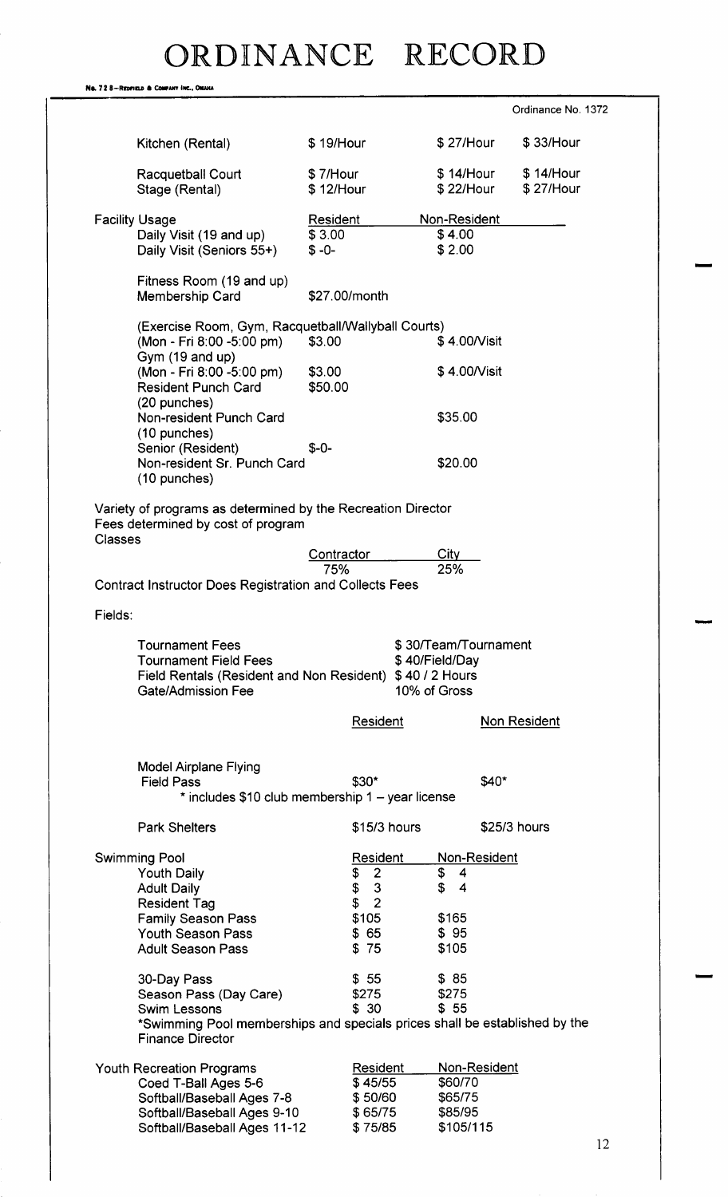|                | No. 728-Redfield & Company INC., OMAHA                                                             |                 |                                            |                      |                     |  |
|----------------|----------------------------------------------------------------------------------------------------|-----------------|--------------------------------------------|----------------------|---------------------|--|
|                |                                                                                                    |                 |                                            |                      | Ordinance No. 1372  |  |
|                | Kitchen (Rental)                                                                                   | \$19/Hour       |                                            | \$27/Hour            | \$33/Hour           |  |
|                | Racquetball Court                                                                                  | \$7/Hour        |                                            | \$14/Hour            | \$14/Hour           |  |
|                | Stage (Rental)                                                                                     | \$12/Hour       |                                            | \$22/Hour            | \$27/Hour           |  |
|                | <b>Facility Usage</b>                                                                              | <b>Resident</b> |                                            | Non-Resident         |                     |  |
|                | Daily Visit (19 and up)                                                                            | \$3.00          |                                            | \$4.00               |                     |  |
|                | Daily Visit (Seniors 55+)                                                                          | $$ -0-$         |                                            | \$2.00               |                     |  |
|                | Fitness Room (19 and up)<br>Membership Card                                                        |                 | \$27.00/month                              |                      |                     |  |
|                | (Exercise Room, Gym, Racquetball/Wallyball Courts)<br>(Mon - Fri 8:00 -5:00 pm)                    | \$3.00          |                                            | \$4.00/Visit         |                     |  |
|                | Gym (19 and up)<br>(Mon - Fri 8:00 -5:00 pm)                                                       | \$3.00          |                                            | \$4.00/Visit         |                     |  |
|                | <b>Resident Punch Card</b>                                                                         | \$50.00         |                                            |                      |                     |  |
|                | (20 punches)                                                                                       |                 |                                            |                      |                     |  |
|                | Non-resident Punch Card                                                                            |                 |                                            | \$35.00              |                     |  |
|                | (10 punches)<br>Senior (Resident)                                                                  | $$ -0-$         |                                            |                      |                     |  |
|                | Non-resident Sr. Punch Card                                                                        |                 |                                            | \$20.00              |                     |  |
|                | (10 punches)                                                                                       |                 |                                            |                      |                     |  |
| <b>Classes</b> | Variety of programs as determined by the Recreation Director<br>Fees determined by cost of program |                 |                                            |                      |                     |  |
|                |                                                                                                    | Contractor      |                                            | Citv                 |                     |  |
|                | <b>Contract Instructor Does Registration and Collects Fees</b>                                     | 75%             |                                            | 25%                  |                     |  |
|                |                                                                                                    |                 |                                            |                      |                     |  |
| Fields:        |                                                                                                    |                 |                                            |                      |                     |  |
|                | <b>Tournament Fees</b>                                                                             |                 |                                            | \$30/Team/Tournament |                     |  |
|                | <b>Tournament Field Fees</b>                                                                       |                 |                                            | \$40/Field/Day       |                     |  |
|                | Field Rentals (Resident and Non Resident) \$40 / 2 Hours<br><b>Gate/Admission Fee</b>              |                 |                                            | 10% of Gross         |                     |  |
|                |                                                                                                    |                 | <b>Resident</b>                            |                      | <b>Non Resident</b> |  |
|                |                                                                                                    |                 |                                            |                      |                     |  |
|                | <b>Model Airplane Flying</b>                                                                       |                 |                                            |                      |                     |  |
|                | <b>Field Pass</b>                                                                                  |                 | $$30*$                                     |                      | \$40*               |  |
|                | * includes \$10 club membership 1 - year license                                                   |                 |                                            |                      |                     |  |
|                | <b>Park Shelters</b>                                                                               |                 | $$15/3$ hours                              |                      | \$25/3 hours        |  |
|                | <b>Swimming Pool</b>                                                                               |                 | <b>Resident</b>                            | Non-Resident         |                     |  |
|                | <b>Youth Daily</b><br><b>Adult Daily</b>                                                           |                 | $\overline{2}$<br>\$<br>\$<br>$\mathbf{3}$ | \$<br>4<br>\$<br>4   |                     |  |
|                | <b>Resident Tag</b>                                                                                |                 | \$<br>$\overline{2}$                       |                      |                     |  |
|                | <b>Family Season Pass</b>                                                                          |                 | \$105                                      | \$165                |                     |  |
|                | <b>Youth Season Pass</b><br><b>Adult Season Pass</b>                                               |                 | \$65<br>\$75                               | \$95<br>\$105        |                     |  |
|                |                                                                                                    |                 |                                            |                      |                     |  |
|                | 30-Day Pass                                                                                        |                 | \$55                                       | \$85                 |                     |  |
|                | Season Pass (Day Care)<br><b>Swim Lessons</b>                                                      |                 | \$275<br>\$30                              | \$275<br>\$55        |                     |  |
|                | *Swimming Pool memberships and specials prices shall be established by the                         |                 |                                            |                      |                     |  |
|                | <b>Finance Director</b>                                                                            |                 |                                            |                      |                     |  |
|                | <b>Youth Recreation Programs</b>                                                                   |                 | Resident                                   | Non-Resident         |                     |  |
|                | Coed T-Ball Ages 5-6                                                                               |                 | \$45/55                                    | \$60/70              |                     |  |
|                | Softball/Baseball Ages 7-8<br>Softball/Baseball Ages 9-10                                          |                 | \$50/60<br>\$65/75                         | \$65/75<br>\$85/95   |                     |  |
|                | Softball/Baseball Ages 11-12                                                                       |                 | \$75/85                                    | \$105/115            |                     |  |
|                |                                                                                                    |                 |                                            |                      |                     |  |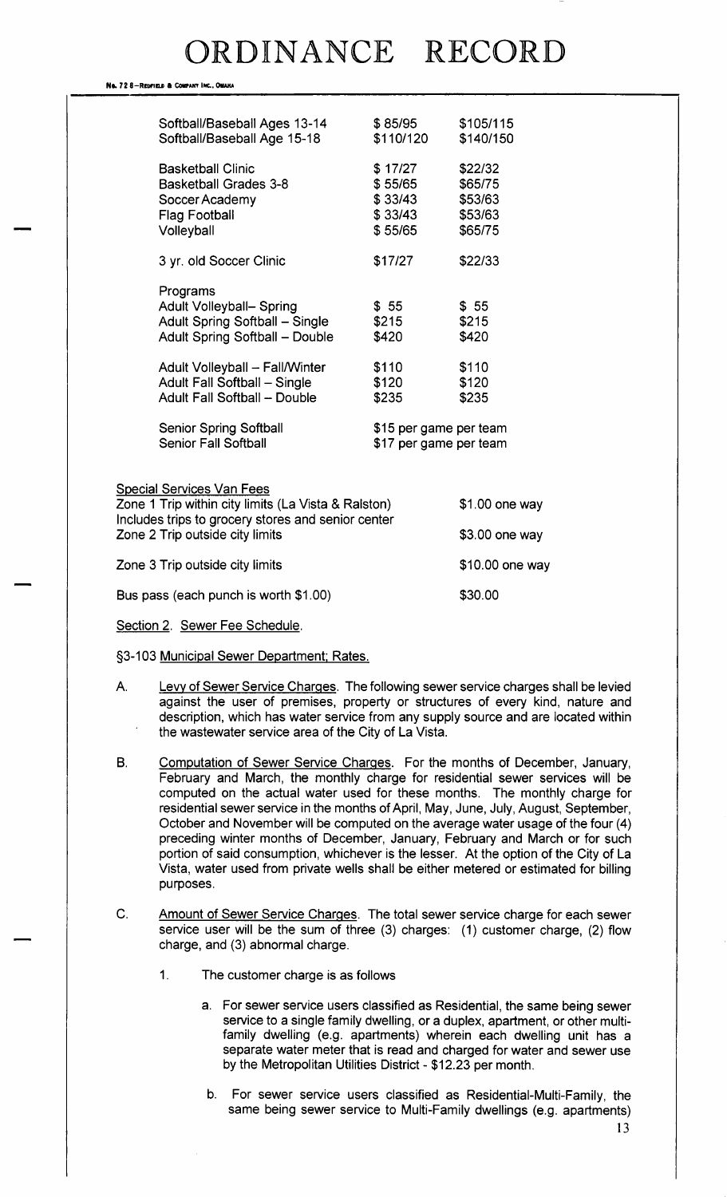#### No. 72 8-REDFIELD & COMPANY INC., OMAKA

|                                                                                       | Softball/Baseball Ages 13-14<br>Softball/Baseball Age 15-18                                                                                                                                                                                                                | \$85/95<br>\$110/120                                                                                  | \$105/115<br>\$140/150                              |
|---------------------------------------------------------------------------------------|----------------------------------------------------------------------------------------------------------------------------------------------------------------------------------------------------------------------------------------------------------------------------|-------------------------------------------------------------------------------------------------------|-----------------------------------------------------|
|                                                                                       | <b>Basketball Clinic</b><br><b>Basketball Grades 3-8</b><br>Soccer Academy<br><b>Flag Football</b><br>Volleyball                                                                                                                                                           | \$17/27<br>\$55/65<br>\$33/43<br>\$33/43<br>\$55/65                                                   | \$22/32<br>\$65/75<br>\$53/63<br>\$53/63<br>\$65/75 |
|                                                                                       | 3 yr. old Soccer Clinic                                                                                                                                                                                                                                                    | \$17/27                                                                                               | \$22/33                                             |
|                                                                                       | Programs<br>Adult Volleyball- Spring<br>Adult Spring Softball - Single<br><b>Adult Spring Softball - Double</b><br>Adult Volleyball - Fall/Winter<br>Adult Fall Softball - Single<br>Adult Fall Softball - Double<br>Senior Spring Softball<br><b>Senior Fall Softball</b> | \$55<br>\$215<br>\$420<br>\$110<br>\$120<br>\$235<br>\$15 per game per team<br>\$17 per game per team | \$55<br>\$215<br>\$420<br>\$110<br>\$120<br>\$235   |
|                                                                                       | <b>Special Services Van Fees</b><br>Zone 1 Trip within city limits (La Vista & Ralston)                                                                                                                                                                                    |                                                                                                       | $$1.00$ one way                                     |
| Includes trips to grocery stores and senior center<br>Zone 2 Trip outside city limits |                                                                                                                                                                                                                                                                            |                                                                                                       | \$3.00 one way                                      |
| Zone 3 Trip outside city limits                                                       |                                                                                                                                                                                                                                                                            |                                                                                                       | \$10.00 one way                                     |
|                                                                                       | Bus pass (each punch is worth \$1.00)                                                                                                                                                                                                                                      |                                                                                                       | \$30.00                                             |
|                                                                                       |                                                                                                                                                                                                                                                                            |                                                                                                       |                                                     |

#### Section 2. Sewer Fee Schedule.

### §3-103 Municipal Sewer Department; Rates.

- A. Levy of Sewer Service Charges. The following sewer service charges shall be levied against the user of premises, property or structures of every kind, nature and description, which has water service from any supply source and are located within the wastewater service area of the City of La Vista.
- B. Computation of Sewer Service Charges. For the months of December, January, February and March, the monthly charge for residential sewer services will be computed on the actual water used for these months. The monthly charge for residential sewer service in the months of April, May, June, July, August, September, October and November will be computed on the average water usage of the four( 4) preceding winter months of December, January, February and March or for such portion of said consumption, whichever is the lesser. At the option of the City of La Vista, water used from private wells shall be either metered or estimated for billing purposes.
- C. Amount of Sewer Service Charges. The total sewer service charge for each sewer service user will be the sum of three (3) charges: (1) customer charge, (2) flow charge, and (3) abnormal charge.
	- 1. The customer charge is as follows
		- a. For sewer service users classified as Residential, the same being sewer service to a single family dwelling, or a duplex, apartment, or other multifamily dwelling (e.g. apartments) wherein each dwelling unit has a separate water meter that is read and charged for water and sewer use by the Metropolitan Utilities District- \$ 12. 23 per month.
		- b. For sewer service users classified as Residential-Multi-Family, the same being sewer service to Multi-Family dwellings (e.g. apartments)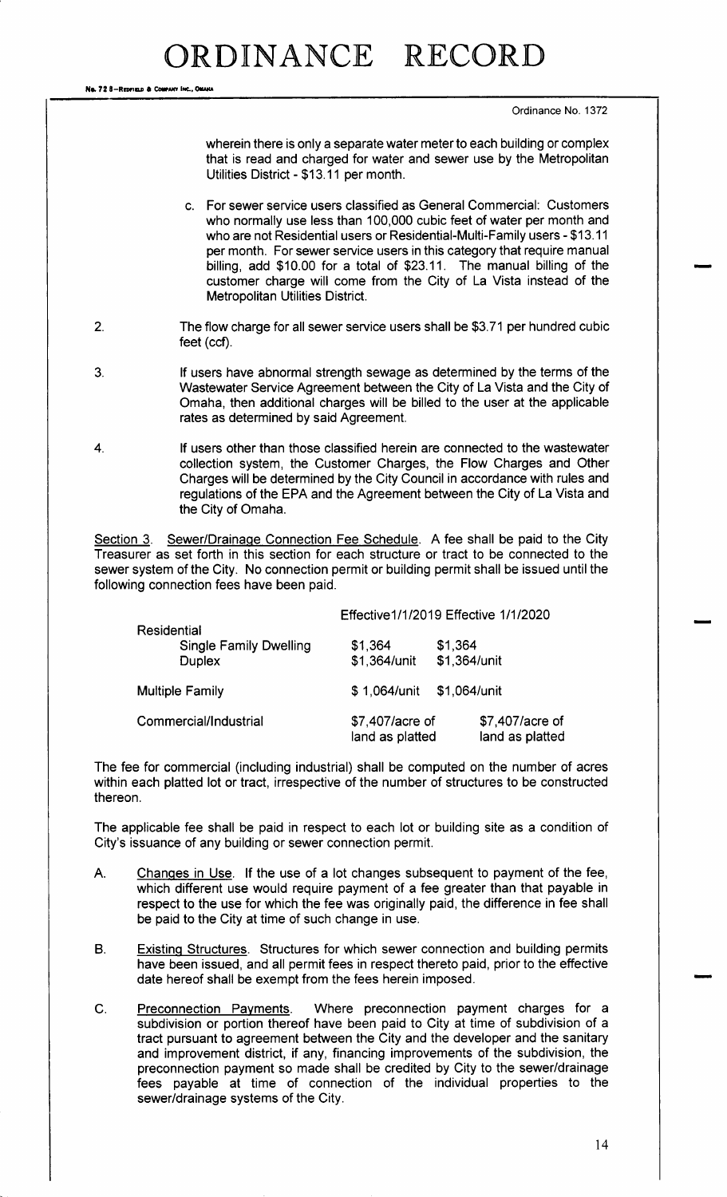Na. 72 8-REDFIELD & COMPANY INC., OMANA

Ordinance No. 1372

wherein there is only a separate water meter to each building or complex that is read and charged for water and sewer use by the Metropolitan Utilities District - \$13.11 per month.

- c. For sewer service users classified as General Commercial: Customers who normally use less than 100,000 cubic feet of water per month and who are not Residential users or Residential-Multi-Family users - \$13.11 per month. For sewer service users in this category that require manual billing, add \$10.00 for a total of \$23.11. The manual billing of the customer charge will come from the City of La Vista instead of the Metropolitan Utilities District.
- 2. The flow charge for all sewer service users shall be \$3.71 per hundred cubic feet (ccf).
- 3. If users have abnormal strength sewage as determined by the terms of the Wastewater Service Agreement between the City of La Vista and the City of Omaha, then additional charges will be billed to the user at the applicable rates as determined by said Agreement.
- 4. If users other than those classified herein are connected to the wastewater collection system, the Customer Charges, the Flow Charges and Other Charges will be determined by the City Council in accordance with rules and regulations of the EPA and the Agreement between the City of La Vista and the City of Omaha.

Section 3. Sewer/Drainage Connection Fee Schedule. A fee shall be paid to the City Treasurer as set forth in this section for each structure or tract to be connected to the sewer system of the City. No connection permit or building permit shall be issued until the following connection fees have been paid.

|                                                               |  | Effective 1/1/2019 Effective 1/1/2020 |                                    |  |
|---------------------------------------------------------------|--|---------------------------------------|------------------------------------|--|
| Residential<br><b>Single Family Dwelling</b><br><b>Duplex</b> |  | \$1,364<br>\$1,364/unit               | \$1,364<br>\$1,364/unit            |  |
| <b>Multiple Family</b>                                        |  | \$1,064/unit                          | \$1,064/unit                       |  |
| Commercial/Industrial                                         |  |                                       | \$7,407/acre of<br>land as platted |  |

The fee for commercial ( including industrial) shall be computed on the number of acres within each platted lot or tract, irrespective of the number of structures to be constructed thereon.

The applicable fee shall be paid in respect to each lot or building site as a condition of City's issuance of any building or sewer connection permit.

- A. Changes in Use. If the use of a lot changes subsequent to payment of the fee, which different use would require payment of a fee greater than that payable in respect to the use for which the fee was originally paid, the difference in fee shall be paid to the City at time of such change in use.
- B. Existing Structures. Structures for which sewer connection and building permits have been issued, and all permit fees in respect thereto paid, prior to the effective date hereof shall be exempt from the fees herein imposed.
- C. Preconnection Payments. Where preconnection payment charges for a subdivision or portion thereof have been paid to City at time of subdivision of a tract pursuant to agreement between the City and the developer and the sanitary and improvement district, if any, financing improvements of the subdivision, the preconnection payment so made shall be credited by City to the sewer/drainage fees payable at time of connection of the individual properties to the sewer/drainage systems of the City.